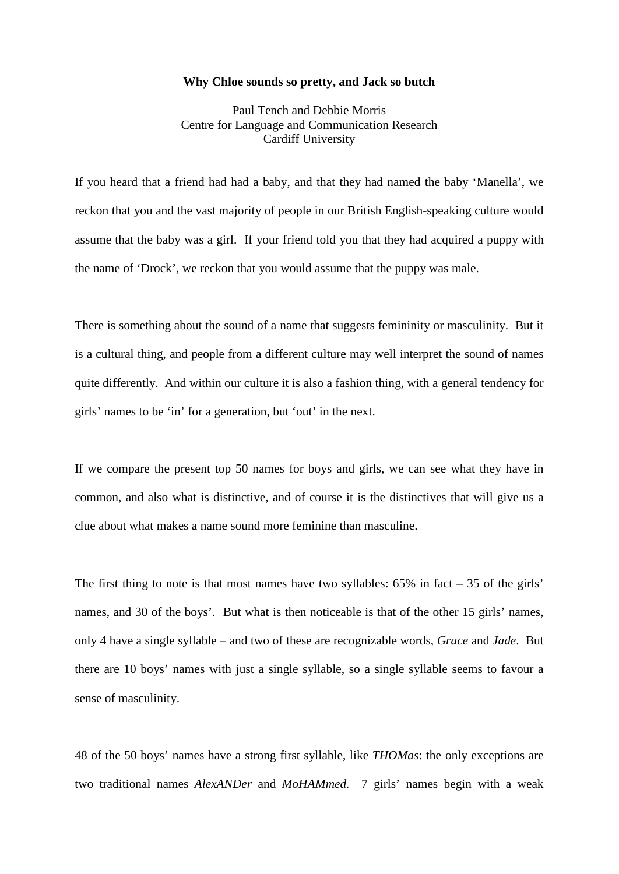## **Why Chloe sounds so pretty, and Jack so butch**

Paul Tench and Debbie Morris Centre for Language and Communication Research Cardiff University

If you heard that a friend had had a baby, and that they had named the baby 'Manella', we reckon that you and the vast majority of people in our British English-speaking culture would assume that the baby was a girl. If your friend told you that they had acquired a puppy with the name of 'Drock', we reckon that you would assume that the puppy was male.

There is something about the sound of a name that suggests femininity or masculinity. But it is a cultural thing, and people from a different culture may well interpret the sound of names quite differently. And within our culture it is also a fashion thing, with a general tendency for girls' names to be 'in' for a generation, but 'out' in the next.

If we compare the present top 50 names for boys and girls, we can see what they have in common, and also what is distinctive, and of course it is the distinctives that will give us a clue about what makes a name sound more feminine than masculine.

The first thing to note is that most names have two syllables:  $65\%$  in fact  $-35$  of the girls' names, and 30 of the boys'. But what is then noticeable is that of the other 15 girls' names, only 4 have a single syllable – and two of these are recognizable words, *Grace* and *Jade*. But there are 10 boys' names with just a single syllable, so a single syllable seems to favour a sense of masculinity.

48 of the 50 boys' names have a strong first syllable, like *THOMas*: the only exceptions are two traditional names *AlexANDer* and *MoHAMmed.* 7 girls' names begin with a weak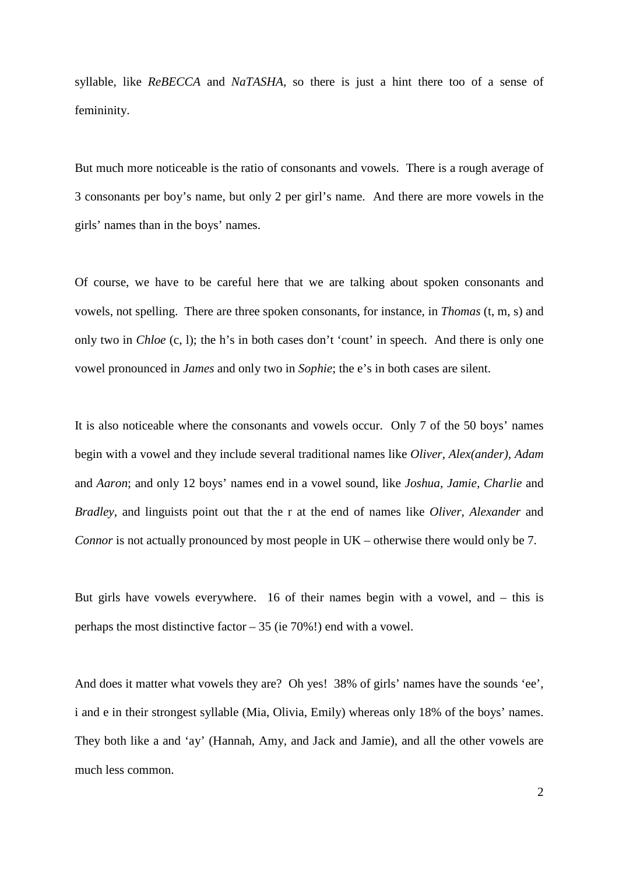syllable, like *ReBECCA* and *NaTASHA,* so there is just a hint there too of a sense of femininity.

But much more noticeable is the ratio of consonants and vowels. There is a rough average of 3 consonants per boy's name, but only 2 per girl's name. And there are more vowels in the girls' names than in the boys' names.

Of course, we have to be careful here that we are talking about spoken consonants and vowels, not spelling. There are three spoken consonants, for instance, in *Thomas* (t, m, s) and only two in *Chloe* (c, l); the h's in both cases don't 'count' in speech. And there is only one vowel pronounced in *James* and only two in *Sophie*; the e's in both cases are silent.

It is also noticeable where the consonants and vowels occur. Only 7 of the 50 boys' names begin with a vowel and they include several traditional names like *Oliver, Alex(ander), Adam* and *Aaron*; and only 12 boys' names end in a vowel sound, like *Joshua, Jamie, Charlie* and *Bradley*, and linguists point out that the r at the end of names like *Oliver, Alexander* and *Connor* is not actually pronounced by most people in UK – otherwise there would only be 7.

But girls have vowels everywhere. 16 of their names begin with a vowel, and – this is perhaps the most distinctive factor – 35 (ie 70%!) end with a vowel.

And does it matter what vowels they are? Oh yes! 38% of girls' names have the sounds 'ee', i and e in their strongest syllable (Mia, Olivia, Emily) whereas only 18% of the boys' names. They both like a and 'ay' (Hannah, Amy, and Jack and Jamie), and all the other vowels are much less common.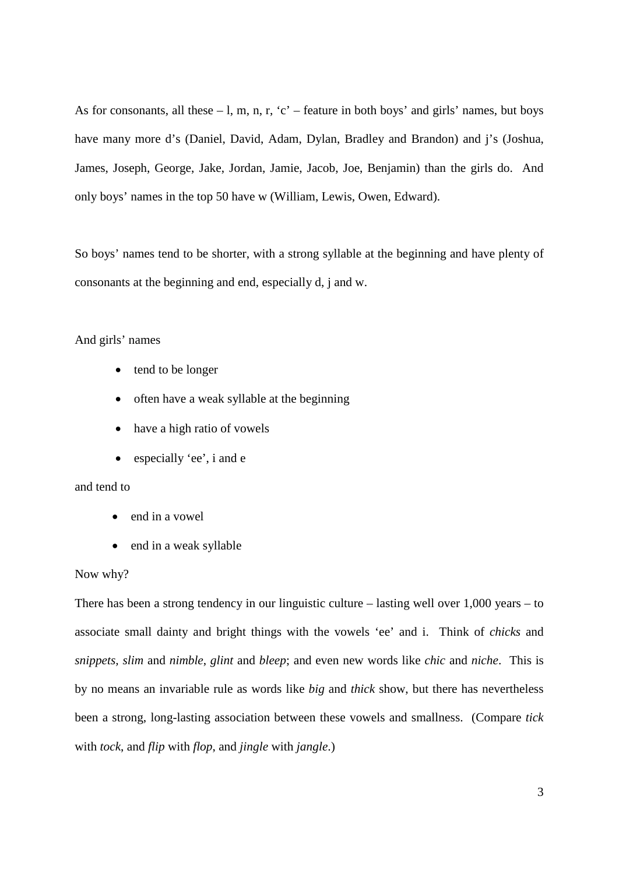As for consonants, all these  $-1$ , m, n, r, 'c' – feature in both boys' and girls' names, but boys have many more d's (Daniel, David, Adam, Dylan, Bradley and Brandon) and j's (Joshua, James, Joseph, George, Jake, Jordan, Jamie, Jacob, Joe, Benjamin) than the girls do. And only boys' names in the top 50 have w (William, Lewis, Owen, Edward).

So boys' names tend to be shorter, with a strong syllable at the beginning and have plenty of consonants at the beginning and end, especially d, j and w.

And girls' names

- tend to be longer
- often have a weak syllable at the beginning
- have a high ratio of vowels
- especially 'ee', i and e

## and tend to

- end in a vowel
- end in a weak syllable

## Now why?

There has been a strong tendency in our linguistic culture – lasting well over 1,000 years – to associate small dainty and bright things with the vowels 'ee' and i. Think of *chicks* and *snippets, slim* and *nimble*, *glint* and *bleep*; and even new words like *chic* and *niche*. This is by no means an invariable rule as words like *big* and *thick* show, but there has nevertheless been a strong, long-lasting association between these vowels and smallness. (Compare *tick*  with *tock*, and *flip* with *flop*, and *jingle* with *jangle*.)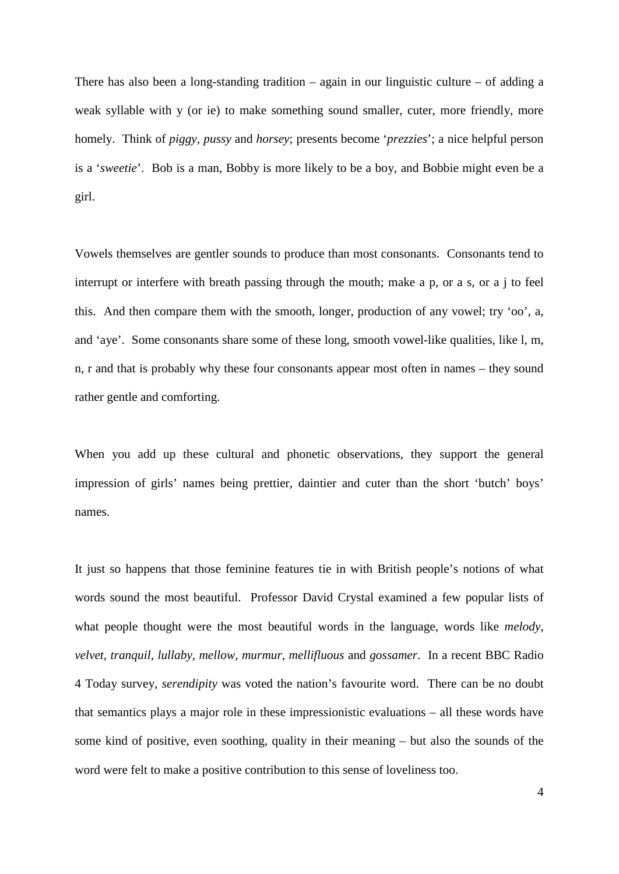There has also been a long-standing tradition – again in our linguistic culture – of adding a weak syllable with y (or ie) to make something sound smaller, cuter, more friendly, more homely. Think of *piggy, pussy* and *horsey*; presents become '*prezzies*'; a nice helpful person is a '*sweetie*'. Bob is a man, Bobby is more likely to be a boy, and Bobbie might even be a girl.

Vowels themselves are gentler sounds to produce than most consonants. Consonants tend to interrupt or interfere with breath passing through the mouth; make a p, or a s, or a j to feel this. And then compare them with the smooth, longer, production of any vowel; try 'oo', a, and 'aye'. Some consonants share some of these long, smooth vowel-like qualities, like l, m, n, r and that is probably why these four consonants appear most often in names – they sound rather gentle and comforting.

When you add up these cultural and phonetic observations, they support the general impression of girls' names being prettier, daintier and cuter than the short 'butch' boys' names.

It just so happens that those feminine features tie in with British people's notions of what words sound the most beautiful. Professor David Crystal examined a few popular lists of what people thought were the most beautiful words in the language, words like *melody, velvet, tranquil, lullaby, mellow, murmur, mellifluous* and *gossamer*. In a recent BBC Radio 4 Today survey, *serendipity* was voted the nation's favourite word. There can be no doubt that semantics plays a major role in these impressionistic evaluations – all these words have some kind of positive, even soothing, quality in their meaning – but also the sounds of the word were felt to make a positive contribution to this sense of loveliness too.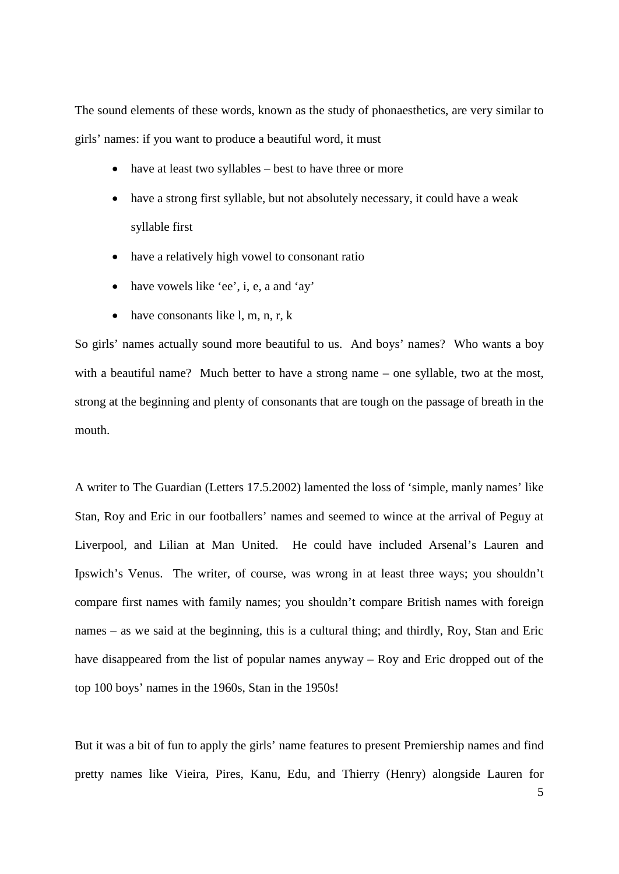The sound elements of these words, known as the study of phonaesthetics, are very similar to girls' names: if you want to produce a beautiful word, it must

- have at least two syllables best to have three or more
- have a strong first syllable, but not absolutely necessary, it could have a weak syllable first
- have a relatively high vowel to consonant ratio
- have vowels like 'ee', i, e, a and 'ay'
- have consonants like  $l, m, n, r, k$

So girls' names actually sound more beautiful to us. And boys' names? Who wants a boy with a beautiful name? Much better to have a strong name – one syllable, two at the most, strong at the beginning and plenty of consonants that are tough on the passage of breath in the mouth.

A writer to The Guardian (Letters 17.5.2002) lamented the loss of 'simple, manly names' like Stan, Roy and Eric in our footballers' names and seemed to wince at the arrival of Peguy at Liverpool, and Lilian at Man United. He could have included Arsenal's Lauren and Ipswich's Venus. The writer, of course, was wrong in at least three ways; you shouldn't compare first names with family names; you shouldn't compare British names with foreign names – as we said at the beginning, this is a cultural thing; and thirdly, Roy, Stan and Eric have disappeared from the list of popular names anyway – Roy and Eric dropped out of the top 100 boys' names in the 1960s, Stan in the 1950s!

But it was a bit of fun to apply the girls' name features to present Premiership names and find pretty names like Vieira, Pires, Kanu, Edu, and Thierry (Henry) alongside Lauren for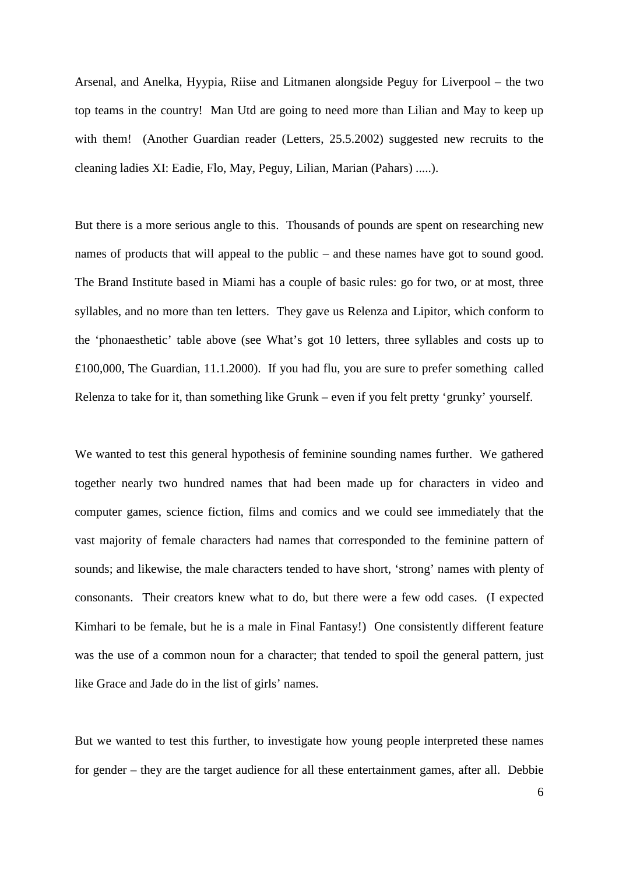Arsenal, and Anelka, Hyypia, Riise and Litmanen alongside Peguy for Liverpool – the two top teams in the country! Man Utd are going to need more than Lilian and May to keep up with them! (Another Guardian reader (Letters, 25.5.2002) suggested new recruits to the cleaning ladies XI: Eadie, Flo, May, Peguy, Lilian, Marian (Pahars) .....).

But there is a more serious angle to this. Thousands of pounds are spent on researching new names of products that will appeal to the public – and these names have got to sound good. The Brand Institute based in Miami has a couple of basic rules: go for two, or at most, three syllables, and no more than ten letters. They gave us Relenza and Lipitor, which conform to the 'phonaesthetic' table above (see What's got 10 letters, three syllables and costs up to £100,000, The Guardian, 11.1.2000). If you had flu, you are sure to prefer something called Relenza to take for it, than something like Grunk – even if you felt pretty 'grunky' yourself.

We wanted to test this general hypothesis of feminine sounding names further. We gathered together nearly two hundred names that had been made up for characters in video and computer games, science fiction, films and comics and we could see immediately that the vast majority of female characters had names that corresponded to the feminine pattern of sounds; and likewise, the male characters tended to have short, 'strong' names with plenty of consonants. Their creators knew what to do, but there were a few odd cases. (I expected Kimhari to be female, but he is a male in Final Fantasy!) One consistently different feature was the use of a common noun for a character; that tended to spoil the general pattern, just like Grace and Jade do in the list of girls' names.

But we wanted to test this further, to investigate how young people interpreted these names for gender – they are the target audience for all these entertainment games, after all. Debbie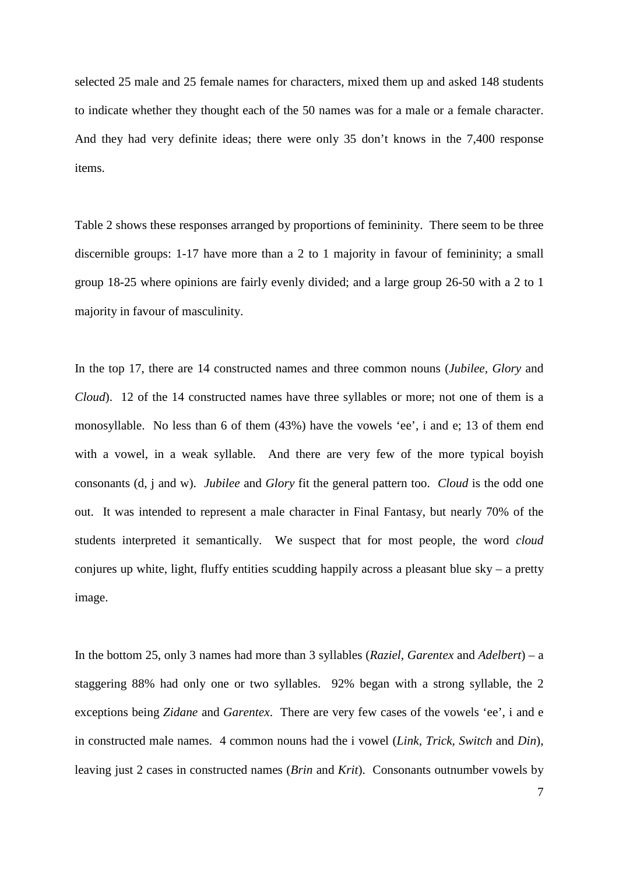selected 25 male and 25 female names for characters, mixed them up and asked 148 students to indicate whether they thought each of the 50 names was for a male or a female character. And they had very definite ideas; there were only 35 don't knows in the 7,400 response items.

Table 2 shows these responses arranged by proportions of femininity. There seem to be three discernible groups: 1-17 have more than a 2 to 1 majority in favour of femininity; a small group 18-25 where opinions are fairly evenly divided; and a large group 26-50 with a 2 to 1 majority in favour of masculinity.

In the top 17, there are 14 constructed names and three common nouns (*Jubilee, Glory* and *Cloud*). 12 of the 14 constructed names have three syllables or more; not one of them is a monosyllable. No less than 6 of them (43%) have the vowels 'ee', i and e; 13 of them end with a vowel, in a weak syllable. And there are very few of the more typical boyish consonants (d, j and w). *Jubilee* and *Glory* fit the general pattern too. *Cloud* is the odd one out. It was intended to represent a male character in Final Fantasy, but nearly 70% of the students interpreted it semantically. We suspect that for most people, the word *cloud*  conjures up white, light, fluffy entities scudding happily across a pleasant blue sky – a pretty image.

In the bottom 25, only 3 names had more than 3 syllables (*Raziel, Garentex* and *Adelbert*) – a staggering 88% had only one or two syllables. 92% began with a strong syllable, the 2 exceptions being *Zidane* and *Garentex*. There are very few cases of the vowels 'ee', i and e in constructed male names. 4 common nouns had the i vowel (*Link, Trick, Switch* and *Din*), leaving just 2 cases in constructed names (*Brin* and *Krit*). Consonants outnumber vowels by

7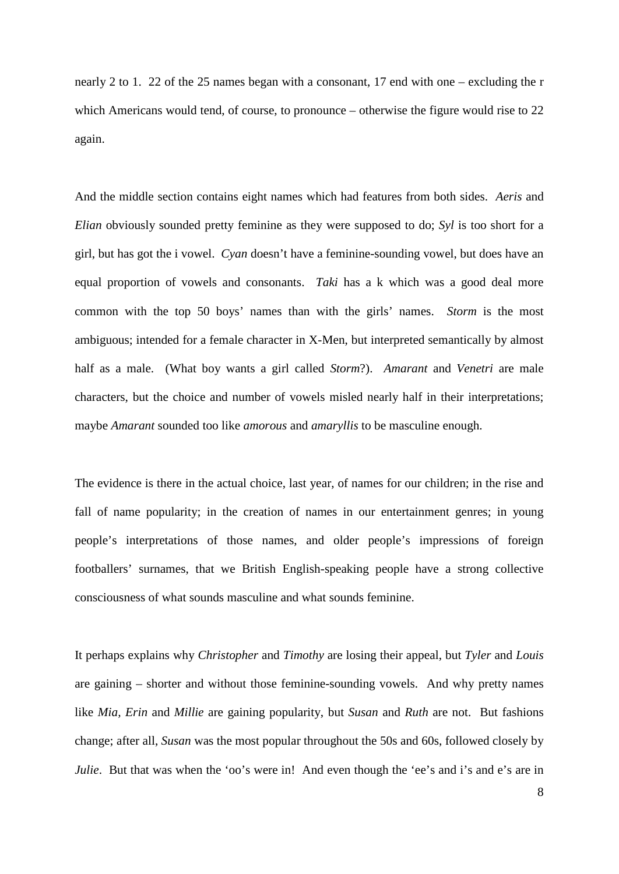nearly 2 to 1. 22 of the 25 names began with a consonant, 17 end with one – excluding the r which Americans would tend, of course, to pronounce – otherwise the figure would rise to 22 again.

And the middle section contains eight names which had features from both sides. *Aeris* and *Elian* obviously sounded pretty feminine as they were supposed to do; *Syl* is too short for a girl, but has got the i vowel. *Cyan* doesn't have a feminine-sounding vowel, but does have an equal proportion of vowels and consonants. *Taki* has a k which was a good deal more common with the top 50 boys' names than with the girls' names. *Storm* is the most ambiguous; intended for a female character in X-Men, but interpreted semantically by almost half as a male. (What boy wants a girl called *Storm*?). *Amarant* and *Venetri* are male characters, but the choice and number of vowels misled nearly half in their interpretations; maybe *Amarant* sounded too like *amorous* and *amaryllis* to be masculine enough.

The evidence is there in the actual choice, last year, of names for our children; in the rise and fall of name popularity; in the creation of names in our entertainment genres; in young people's interpretations of those names, and older people's impressions of foreign footballers' surnames, that we British English-speaking people have a strong collective consciousness of what sounds masculine and what sounds feminine.

It perhaps explains why *Christopher* and *Timothy* are losing their appeal, but *Tyler* and *Louis*  are gaining – shorter and without those feminine-sounding vowels. And why pretty names like *Mia, Erin* and *Millie* are gaining popularity, but *Susan* and *Ruth* are not. But fashions change; after all, *Susan* was the most popular throughout the 50s and 60s, followed closely by *Julie*. But that was when the 'oo's were in! And even though the 'ee's and i's and e's are in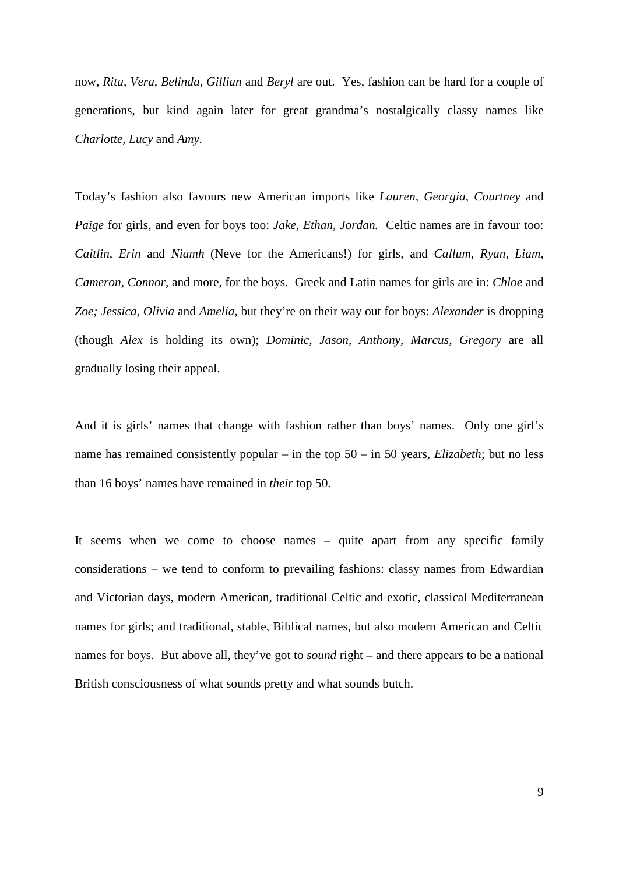now, *Rita, Vera, Belinda, Gillian* and *Beryl* are out. Yes, fashion can be hard for a couple of generations, but kind again later for great grandma's nostalgically classy names like *Charlotte, Lucy* and *Amy.*

Today's fashion also favours new American imports like *Lauren, Georgia, Courtney* and *Paige* for girls, and even for boys too: *Jake, Ethan, Jordan.* Celtic names are in favour too: *Caitlin, Erin* and *Niamh* (Neve for the Americans!) for girls, and *Callum, Ryan, Liam, Cameron, Connor,* and more, for the boys. Greek and Latin names for girls are in: *Chloe* and *Zoe; Jessica, Olivia* and *Amelia,* but they're on their way out for boys: *Alexander* is dropping (though *Alex* is holding its own); *Dominic, Jason, Anthony, Marcus, Gregory* are all gradually losing their appeal.

And it is girls' names that change with fashion rather than boys' names. Only one girl's name has remained consistently popular – in the top 50 – in 50 years, *Elizabeth*; but no less than 16 boys' names have remained in *their* top 50.

It seems when we come to choose names – quite apart from any specific family considerations – we tend to conform to prevailing fashions: classy names from Edwardian and Victorian days, modern American, traditional Celtic and exotic, classical Mediterranean names for girls; and traditional, stable, Biblical names, but also modern American and Celtic names for boys. But above all, they've got to *sound* right – and there appears to be a national British consciousness of what sounds pretty and what sounds butch.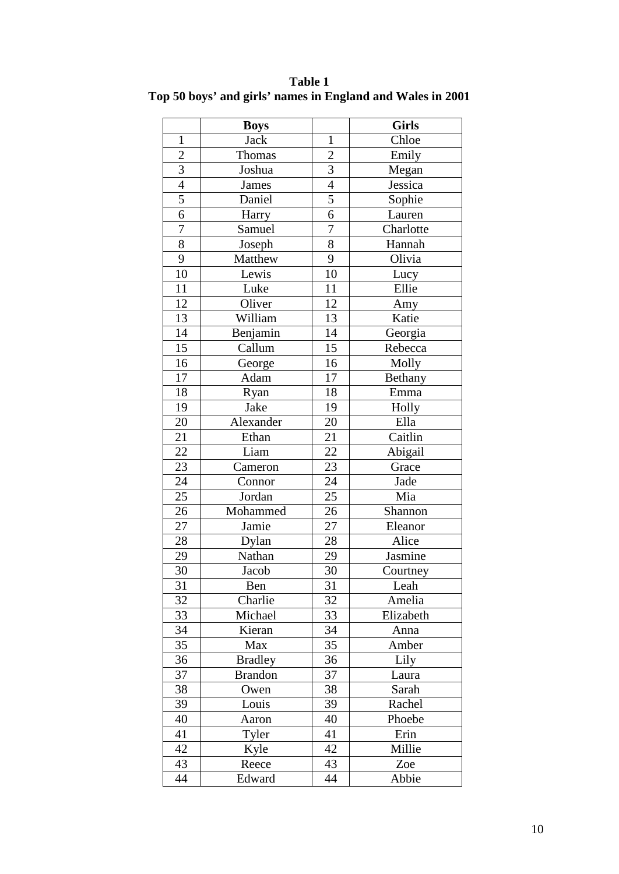|                | <b>Boys</b>    |                 | <b>Girls</b> |  |
|----------------|----------------|-----------------|--------------|--|
| $\mathbf{1}$   | <b>Jack</b>    | $\mathbf{1}$    | Chloe        |  |
| $\overline{c}$ | Thomas         | $\overline{c}$  | Emily        |  |
| 3              | Joshua         | $\frac{3}{4}$   | Megan        |  |
| $\overline{4}$ | <b>James</b>   |                 | Jessica      |  |
| 5              | Daniel         | 5               | Sophie       |  |
| $\overline{6}$ | Harry          | $\overline{6}$  | Lauren       |  |
| $\overline{7}$ | Samuel         | $\overline{7}$  | Charlotte    |  |
| 8              | Joseph         | $\overline{8}$  | Hannah       |  |
| $\overline{9}$ | Matthew        | 9               | Olivia       |  |
| 10             | Lewis          | 10              | Lucy         |  |
| 11             | Luke           | 11              | Ellie        |  |
| 12             | Oliver         | 12              | Amy          |  |
| 13             | William        | 13              | Katie        |  |
| 14             | Benjamin       | 14              | Georgia      |  |
| 15             | Callum         | 15              | Rebecca      |  |
| 16             | George         | 16              | Molly        |  |
| 17             | Adam           | 17              | Bethany      |  |
| 18             | Ryan           | 18              | Emma         |  |
| 19             | Jake           | 19              | Holly        |  |
| 20             | Alexander      | 20              | Ella         |  |
| 21             | Ethan          | $\overline{21}$ | Caitlin      |  |
| 22             | Liam           | 22              | Abigail      |  |
| 23             | Cameron        | 23              | Grace        |  |
| 24             | Connor         | 24              | Jade         |  |
| 25             | Jordan         | 25              | Mia          |  |
| 26             | Mohammed       | 26              | Shannon      |  |
| 27             | Jamie          | 27              | Eleanor      |  |
| $28\,$         | Dylan          | 28              | Alice        |  |
| 29             | Nathan         | 29              | Jasmine      |  |
| 30             | Jacob          | 30              | Courtney     |  |
| 31             | Ben            | 31              | Leah         |  |
| 32             | Charlie        | 32              | Amelia       |  |
| 33             | Michael        | 33              | Elizabeth    |  |
| 34             | Kieran         | 34              | Anna         |  |
| 35             | Max            | 35              | Amber        |  |
| 36             | <b>Bradley</b> | 36              | Lily         |  |
| 37             | <b>Brandon</b> | 37              | Laura        |  |
| 38             | Owen           | 38              | Sarah        |  |
| 39             | Louis          | 39              | Rachel       |  |
| 40             | Aaron          | 40              | Phoebe       |  |
| 41             | Tyler          | 41              | Erin         |  |
| 42             | Kyle           | 42              | Millie       |  |
| 43             | Reece          | 43              | Zoe          |  |
| 44             | Edward         | 44              | Abbie        |  |

**Table 1 Top 50 boys' and girls' names in England and Wales in 2001**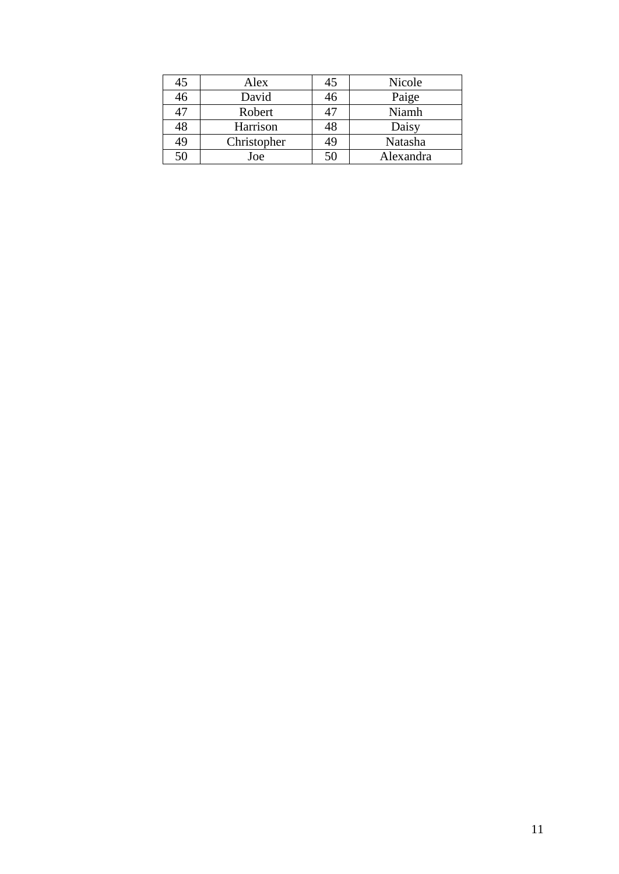| 45 | Alex        | 45 | Nicole    |
|----|-------------|----|-----------|
| 46 | David       | 46 | Paige     |
| 47 | Robert      | 47 | Niamh     |
| 48 | Harrison    | 48 | Daisy     |
| 49 | Christopher | 49 | Natasha   |
| 50 | Joe         | 50 | Alexandra |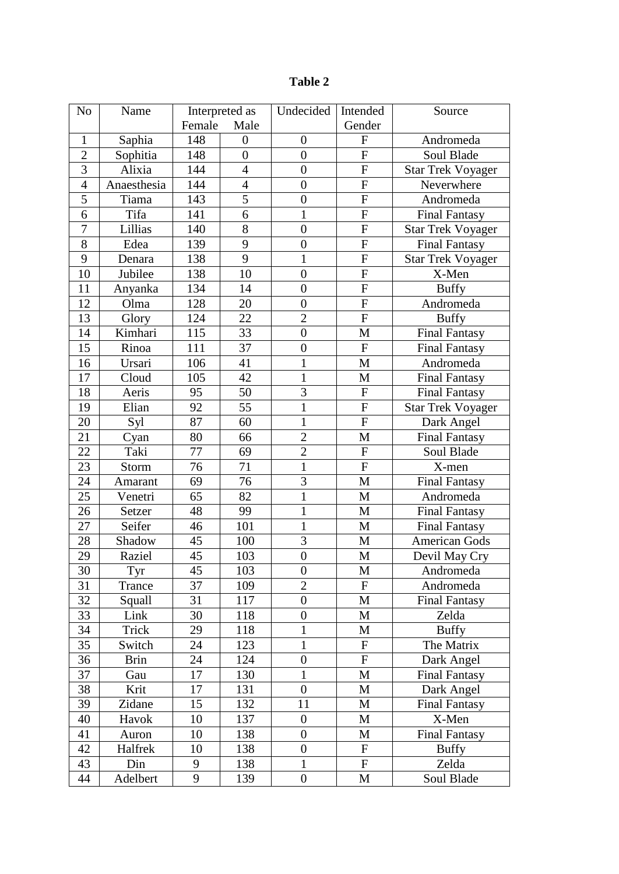| Female<br>Male<br>Gender<br>Saphia<br>148<br>$\boldsymbol{F}$<br>Andromeda<br>$\mathbf{1}$<br>$\boldsymbol{0}$<br>$\boldsymbol{0}$<br>$\overline{2}$<br>$\overline{0}$<br>Sophitia<br>148<br>$\boldsymbol{0}$<br>$\boldsymbol{F}$<br>Soul Blade<br>3<br>Alixia<br>144<br>$\overline{4}$<br>$\overline{0}$<br>${\bf F}$<br><b>Star Trek Voyager</b><br>144<br>$\overline{F}$<br>Anaesthesia<br>$\overline{4}$<br>$\overline{0}$<br>$\overline{4}$<br>Neverwhere<br>$\overline{5}$<br>5<br>$\boldsymbol{0}$<br>$\mathbf F$<br>Tiama<br>143<br>Andromeda<br>6<br>Tifa<br>$\mathbf{1}$<br>$\mathbf F$<br>6<br>141<br><b>Final Fantasy</b><br>$\overline{7}$<br>8<br>$\overline{0}$<br>$\mathbf F$<br>Lillias<br>140<br><b>Star Trek Voyager</b><br>8<br>$\mathbf{F}$<br>139<br>9<br>$\boldsymbol{0}$<br><b>Final Fantasy</b><br>Edea<br>$\overline{F}$<br>9<br>138<br>9<br>$\mathbf{1}$<br><b>Star Trek Voyager</b><br>Denara<br>Jubilee<br>$\boldsymbol{0}$<br>${\bf F}$<br>138<br>10<br>X-Men<br>10<br>134<br>14<br>$\overline{0}$<br>${\bf F}$<br><b>Buffy</b><br>11<br>Anyanka<br>12<br>128<br>$\overline{0}$<br>$\mathbf{F}$<br>Olma<br>20<br>Andromeda<br>13<br>$\overline{2}$<br>$\mathbf{F}$<br>124<br>22<br><b>Buffy</b><br>Glory<br>Kimhari<br>33<br><b>Final Fantasy</b><br>14<br>115<br>$\boldsymbol{0}$<br>M<br>15<br>$\boldsymbol{0}$<br>Rinoa<br>111<br>37<br>${\bf F}$<br><b>Final Fantasy</b><br>41<br>1<br>Ursari<br>106<br>M<br>Andromeda<br>16<br>42<br>17<br>105<br>$\mathbf{1}$<br>Cloud<br>M<br><b>Final Fantasy</b><br>$\overline{3}$<br>50<br>$\mathbf F$<br>18<br>95<br>Aeris<br><b>Final Fantasy</b><br>$\mathbf{1}$<br>55<br>$\mathbf{F}$<br>19<br>Elian<br>92<br><b>Star Trek Voyager</b><br>87<br>$\mathbf{1}$<br>60<br>$\mathbf F$<br>20<br>Syl<br>Dark Angel<br>$\overline{2}$<br>21<br>80<br>66<br>M<br>Final Fantasy<br>Cyan<br>22<br>77<br>$\overline{2}$<br>Taki<br>$\mathbf F$<br>69<br>Soul Blade<br>$\mathbf{1}$<br>$\overline{F}$<br>23<br>76<br>71<br>X-men<br>Storm<br>3<br>76<br>24<br>69<br>M<br><b>Final Fantasy</b><br>Amarant<br>25<br>82<br>$\mathbf{1}$<br>65<br>M<br>Andromeda<br>Venetri<br>$\mathbf{1}$<br>48<br>99<br>M<br><b>Final Fantasy</b><br>26<br>Setzer<br>27<br>Seifer<br>$\mathbf{1}$<br>46<br>101<br>M<br><b>Final Fantasy</b><br>3<br>28<br>45<br>100<br><b>American Gods</b><br>Shadow<br>M<br>$\boldsymbol{0}$<br>29<br>45<br>103<br>Raziel<br>M<br>Devil May Cry<br>103<br>45<br>Andromeda<br>30<br>M<br>$\boldsymbol{0}$<br>Tyr<br>37<br>$\overline{2}$<br>31<br>Trance<br>109<br>$\boldsymbol{F}$<br>Andromeda<br>32<br>31<br>117<br>Squall<br>$\overline{0}$<br>M<br><b>Final Fantasy</b><br>33<br>30<br>$\boldsymbol{0}$<br>Link<br>118<br>M<br>Zelda<br>34<br>118<br>Trick<br>29<br>1<br>M<br><b>Buffy</b><br>$\mathbf{1}$<br>35<br>24<br>123<br>${\bf F}$<br>Switch<br>The Matrix<br>$\overline{F}$<br>24<br>$\boldsymbol{0}$<br>36<br>124<br><b>Brin</b><br>Dark Angel<br>37<br>17<br>1<br>M<br><b>Final Fantasy</b><br>130<br>Gau<br>131<br>38<br>Krit<br>17<br>$\overline{0}$<br>$\mathbf{M}$<br>Dark Angel<br>39<br>15<br>132<br>11<br>Zidane<br>M<br><b>Final Fantasy</b><br>137<br>X-Men<br>40<br>Havok<br>10<br>$\boldsymbol{0}$<br>M<br>138<br>$\boldsymbol{0}$<br>41<br>10<br>M<br><b>Final Fantasy</b><br>Auron<br>42<br>Halfrek<br>10<br>138<br>$\boldsymbol{0}$<br>F<br><b>Buffy</b><br>138<br>43<br>Din<br>9<br>${\bf F}$<br>Zelda<br>1 | N <sub>o</sub> | Name     |   | Interpreted as | Undecided        | Intended | Source     |
|----------------------------------------------------------------------------------------------------------------------------------------------------------------------------------------------------------------------------------------------------------------------------------------------------------------------------------------------------------------------------------------------------------------------------------------------------------------------------------------------------------------------------------------------------------------------------------------------------------------------------------------------------------------------------------------------------------------------------------------------------------------------------------------------------------------------------------------------------------------------------------------------------------------------------------------------------------------------------------------------------------------------------------------------------------------------------------------------------------------------------------------------------------------------------------------------------------------------------------------------------------------------------------------------------------------------------------------------------------------------------------------------------------------------------------------------------------------------------------------------------------------------------------------------------------------------------------------------------------------------------------------------------------------------------------------------------------------------------------------------------------------------------------------------------------------------------------------------------------------------------------------------------------------------------------------------------------------------------------------------------------------------------------------------------------------------------------------------------------------------------------------------------------------------------------------------------------------------------------------------------------------------------------------------------------------------------------------------------------------------------------------------------------------------------------------------------------------------------------------------------------------------------------------------------------------------------------------------------------------------------------------------------------------------------------------------------------------------------------------------------------------------------------------------------------------------------------------------------------------------------------------------------------------------------------------------------------------------------------------------------------------------------------------------------------------------------------------------------------------------------------------------------------------------------------------------------------------------------------------------------------------------------------------------------------------------------------------------------------------------------------------------------------------------------|----------------|----------|---|----------------|------------------|----------|------------|
|                                                                                                                                                                                                                                                                                                                                                                                                                                                                                                                                                                                                                                                                                                                                                                                                                                                                                                                                                                                                                                                                                                                                                                                                                                                                                                                                                                                                                                                                                                                                                                                                                                                                                                                                                                                                                                                                                                                                                                                                                                                                                                                                                                                                                                                                                                                                                                                                                                                                                                                                                                                                                                                                                                                                                                                                                                                                                                                                                                                                                                                                                                                                                                                                                                                                                                                                                                                                                            |                |          |   |                |                  |          |            |
|                                                                                                                                                                                                                                                                                                                                                                                                                                                                                                                                                                                                                                                                                                                                                                                                                                                                                                                                                                                                                                                                                                                                                                                                                                                                                                                                                                                                                                                                                                                                                                                                                                                                                                                                                                                                                                                                                                                                                                                                                                                                                                                                                                                                                                                                                                                                                                                                                                                                                                                                                                                                                                                                                                                                                                                                                                                                                                                                                                                                                                                                                                                                                                                                                                                                                                                                                                                                                            |                |          |   |                |                  |          |            |
|                                                                                                                                                                                                                                                                                                                                                                                                                                                                                                                                                                                                                                                                                                                                                                                                                                                                                                                                                                                                                                                                                                                                                                                                                                                                                                                                                                                                                                                                                                                                                                                                                                                                                                                                                                                                                                                                                                                                                                                                                                                                                                                                                                                                                                                                                                                                                                                                                                                                                                                                                                                                                                                                                                                                                                                                                                                                                                                                                                                                                                                                                                                                                                                                                                                                                                                                                                                                                            |                |          |   |                |                  |          |            |
|                                                                                                                                                                                                                                                                                                                                                                                                                                                                                                                                                                                                                                                                                                                                                                                                                                                                                                                                                                                                                                                                                                                                                                                                                                                                                                                                                                                                                                                                                                                                                                                                                                                                                                                                                                                                                                                                                                                                                                                                                                                                                                                                                                                                                                                                                                                                                                                                                                                                                                                                                                                                                                                                                                                                                                                                                                                                                                                                                                                                                                                                                                                                                                                                                                                                                                                                                                                                                            |                |          |   |                |                  |          |            |
|                                                                                                                                                                                                                                                                                                                                                                                                                                                                                                                                                                                                                                                                                                                                                                                                                                                                                                                                                                                                                                                                                                                                                                                                                                                                                                                                                                                                                                                                                                                                                                                                                                                                                                                                                                                                                                                                                                                                                                                                                                                                                                                                                                                                                                                                                                                                                                                                                                                                                                                                                                                                                                                                                                                                                                                                                                                                                                                                                                                                                                                                                                                                                                                                                                                                                                                                                                                                                            |                |          |   |                |                  |          |            |
|                                                                                                                                                                                                                                                                                                                                                                                                                                                                                                                                                                                                                                                                                                                                                                                                                                                                                                                                                                                                                                                                                                                                                                                                                                                                                                                                                                                                                                                                                                                                                                                                                                                                                                                                                                                                                                                                                                                                                                                                                                                                                                                                                                                                                                                                                                                                                                                                                                                                                                                                                                                                                                                                                                                                                                                                                                                                                                                                                                                                                                                                                                                                                                                                                                                                                                                                                                                                                            |                |          |   |                |                  |          |            |
|                                                                                                                                                                                                                                                                                                                                                                                                                                                                                                                                                                                                                                                                                                                                                                                                                                                                                                                                                                                                                                                                                                                                                                                                                                                                                                                                                                                                                                                                                                                                                                                                                                                                                                                                                                                                                                                                                                                                                                                                                                                                                                                                                                                                                                                                                                                                                                                                                                                                                                                                                                                                                                                                                                                                                                                                                                                                                                                                                                                                                                                                                                                                                                                                                                                                                                                                                                                                                            |                |          |   |                |                  |          |            |
|                                                                                                                                                                                                                                                                                                                                                                                                                                                                                                                                                                                                                                                                                                                                                                                                                                                                                                                                                                                                                                                                                                                                                                                                                                                                                                                                                                                                                                                                                                                                                                                                                                                                                                                                                                                                                                                                                                                                                                                                                                                                                                                                                                                                                                                                                                                                                                                                                                                                                                                                                                                                                                                                                                                                                                                                                                                                                                                                                                                                                                                                                                                                                                                                                                                                                                                                                                                                                            |                |          |   |                |                  |          |            |
|                                                                                                                                                                                                                                                                                                                                                                                                                                                                                                                                                                                                                                                                                                                                                                                                                                                                                                                                                                                                                                                                                                                                                                                                                                                                                                                                                                                                                                                                                                                                                                                                                                                                                                                                                                                                                                                                                                                                                                                                                                                                                                                                                                                                                                                                                                                                                                                                                                                                                                                                                                                                                                                                                                                                                                                                                                                                                                                                                                                                                                                                                                                                                                                                                                                                                                                                                                                                                            |                |          |   |                |                  |          |            |
|                                                                                                                                                                                                                                                                                                                                                                                                                                                                                                                                                                                                                                                                                                                                                                                                                                                                                                                                                                                                                                                                                                                                                                                                                                                                                                                                                                                                                                                                                                                                                                                                                                                                                                                                                                                                                                                                                                                                                                                                                                                                                                                                                                                                                                                                                                                                                                                                                                                                                                                                                                                                                                                                                                                                                                                                                                                                                                                                                                                                                                                                                                                                                                                                                                                                                                                                                                                                                            |                |          |   |                |                  |          |            |
|                                                                                                                                                                                                                                                                                                                                                                                                                                                                                                                                                                                                                                                                                                                                                                                                                                                                                                                                                                                                                                                                                                                                                                                                                                                                                                                                                                                                                                                                                                                                                                                                                                                                                                                                                                                                                                                                                                                                                                                                                                                                                                                                                                                                                                                                                                                                                                                                                                                                                                                                                                                                                                                                                                                                                                                                                                                                                                                                                                                                                                                                                                                                                                                                                                                                                                                                                                                                                            |                |          |   |                |                  |          |            |
|                                                                                                                                                                                                                                                                                                                                                                                                                                                                                                                                                                                                                                                                                                                                                                                                                                                                                                                                                                                                                                                                                                                                                                                                                                                                                                                                                                                                                                                                                                                                                                                                                                                                                                                                                                                                                                                                                                                                                                                                                                                                                                                                                                                                                                                                                                                                                                                                                                                                                                                                                                                                                                                                                                                                                                                                                                                                                                                                                                                                                                                                                                                                                                                                                                                                                                                                                                                                                            |                |          |   |                |                  |          |            |
|                                                                                                                                                                                                                                                                                                                                                                                                                                                                                                                                                                                                                                                                                                                                                                                                                                                                                                                                                                                                                                                                                                                                                                                                                                                                                                                                                                                                                                                                                                                                                                                                                                                                                                                                                                                                                                                                                                                                                                                                                                                                                                                                                                                                                                                                                                                                                                                                                                                                                                                                                                                                                                                                                                                                                                                                                                                                                                                                                                                                                                                                                                                                                                                                                                                                                                                                                                                                                            |                |          |   |                |                  |          |            |
|                                                                                                                                                                                                                                                                                                                                                                                                                                                                                                                                                                                                                                                                                                                                                                                                                                                                                                                                                                                                                                                                                                                                                                                                                                                                                                                                                                                                                                                                                                                                                                                                                                                                                                                                                                                                                                                                                                                                                                                                                                                                                                                                                                                                                                                                                                                                                                                                                                                                                                                                                                                                                                                                                                                                                                                                                                                                                                                                                                                                                                                                                                                                                                                                                                                                                                                                                                                                                            |                |          |   |                |                  |          |            |
|                                                                                                                                                                                                                                                                                                                                                                                                                                                                                                                                                                                                                                                                                                                                                                                                                                                                                                                                                                                                                                                                                                                                                                                                                                                                                                                                                                                                                                                                                                                                                                                                                                                                                                                                                                                                                                                                                                                                                                                                                                                                                                                                                                                                                                                                                                                                                                                                                                                                                                                                                                                                                                                                                                                                                                                                                                                                                                                                                                                                                                                                                                                                                                                                                                                                                                                                                                                                                            |                |          |   |                |                  |          |            |
|                                                                                                                                                                                                                                                                                                                                                                                                                                                                                                                                                                                                                                                                                                                                                                                                                                                                                                                                                                                                                                                                                                                                                                                                                                                                                                                                                                                                                                                                                                                                                                                                                                                                                                                                                                                                                                                                                                                                                                                                                                                                                                                                                                                                                                                                                                                                                                                                                                                                                                                                                                                                                                                                                                                                                                                                                                                                                                                                                                                                                                                                                                                                                                                                                                                                                                                                                                                                                            |                |          |   |                |                  |          |            |
|                                                                                                                                                                                                                                                                                                                                                                                                                                                                                                                                                                                                                                                                                                                                                                                                                                                                                                                                                                                                                                                                                                                                                                                                                                                                                                                                                                                                                                                                                                                                                                                                                                                                                                                                                                                                                                                                                                                                                                                                                                                                                                                                                                                                                                                                                                                                                                                                                                                                                                                                                                                                                                                                                                                                                                                                                                                                                                                                                                                                                                                                                                                                                                                                                                                                                                                                                                                                                            |                |          |   |                |                  |          |            |
|                                                                                                                                                                                                                                                                                                                                                                                                                                                                                                                                                                                                                                                                                                                                                                                                                                                                                                                                                                                                                                                                                                                                                                                                                                                                                                                                                                                                                                                                                                                                                                                                                                                                                                                                                                                                                                                                                                                                                                                                                                                                                                                                                                                                                                                                                                                                                                                                                                                                                                                                                                                                                                                                                                                                                                                                                                                                                                                                                                                                                                                                                                                                                                                                                                                                                                                                                                                                                            |                |          |   |                |                  |          |            |
|                                                                                                                                                                                                                                                                                                                                                                                                                                                                                                                                                                                                                                                                                                                                                                                                                                                                                                                                                                                                                                                                                                                                                                                                                                                                                                                                                                                                                                                                                                                                                                                                                                                                                                                                                                                                                                                                                                                                                                                                                                                                                                                                                                                                                                                                                                                                                                                                                                                                                                                                                                                                                                                                                                                                                                                                                                                                                                                                                                                                                                                                                                                                                                                                                                                                                                                                                                                                                            |                |          |   |                |                  |          |            |
|                                                                                                                                                                                                                                                                                                                                                                                                                                                                                                                                                                                                                                                                                                                                                                                                                                                                                                                                                                                                                                                                                                                                                                                                                                                                                                                                                                                                                                                                                                                                                                                                                                                                                                                                                                                                                                                                                                                                                                                                                                                                                                                                                                                                                                                                                                                                                                                                                                                                                                                                                                                                                                                                                                                                                                                                                                                                                                                                                                                                                                                                                                                                                                                                                                                                                                                                                                                                                            |                |          |   |                |                  |          |            |
|                                                                                                                                                                                                                                                                                                                                                                                                                                                                                                                                                                                                                                                                                                                                                                                                                                                                                                                                                                                                                                                                                                                                                                                                                                                                                                                                                                                                                                                                                                                                                                                                                                                                                                                                                                                                                                                                                                                                                                                                                                                                                                                                                                                                                                                                                                                                                                                                                                                                                                                                                                                                                                                                                                                                                                                                                                                                                                                                                                                                                                                                                                                                                                                                                                                                                                                                                                                                                            |                |          |   |                |                  |          |            |
|                                                                                                                                                                                                                                                                                                                                                                                                                                                                                                                                                                                                                                                                                                                                                                                                                                                                                                                                                                                                                                                                                                                                                                                                                                                                                                                                                                                                                                                                                                                                                                                                                                                                                                                                                                                                                                                                                                                                                                                                                                                                                                                                                                                                                                                                                                                                                                                                                                                                                                                                                                                                                                                                                                                                                                                                                                                                                                                                                                                                                                                                                                                                                                                                                                                                                                                                                                                                                            |                |          |   |                |                  |          |            |
|                                                                                                                                                                                                                                                                                                                                                                                                                                                                                                                                                                                                                                                                                                                                                                                                                                                                                                                                                                                                                                                                                                                                                                                                                                                                                                                                                                                                                                                                                                                                                                                                                                                                                                                                                                                                                                                                                                                                                                                                                                                                                                                                                                                                                                                                                                                                                                                                                                                                                                                                                                                                                                                                                                                                                                                                                                                                                                                                                                                                                                                                                                                                                                                                                                                                                                                                                                                                                            |                |          |   |                |                  |          |            |
|                                                                                                                                                                                                                                                                                                                                                                                                                                                                                                                                                                                                                                                                                                                                                                                                                                                                                                                                                                                                                                                                                                                                                                                                                                                                                                                                                                                                                                                                                                                                                                                                                                                                                                                                                                                                                                                                                                                                                                                                                                                                                                                                                                                                                                                                                                                                                                                                                                                                                                                                                                                                                                                                                                                                                                                                                                                                                                                                                                                                                                                                                                                                                                                                                                                                                                                                                                                                                            |                |          |   |                |                  |          |            |
|                                                                                                                                                                                                                                                                                                                                                                                                                                                                                                                                                                                                                                                                                                                                                                                                                                                                                                                                                                                                                                                                                                                                                                                                                                                                                                                                                                                                                                                                                                                                                                                                                                                                                                                                                                                                                                                                                                                                                                                                                                                                                                                                                                                                                                                                                                                                                                                                                                                                                                                                                                                                                                                                                                                                                                                                                                                                                                                                                                                                                                                                                                                                                                                                                                                                                                                                                                                                                            |                |          |   |                |                  |          |            |
|                                                                                                                                                                                                                                                                                                                                                                                                                                                                                                                                                                                                                                                                                                                                                                                                                                                                                                                                                                                                                                                                                                                                                                                                                                                                                                                                                                                                                                                                                                                                                                                                                                                                                                                                                                                                                                                                                                                                                                                                                                                                                                                                                                                                                                                                                                                                                                                                                                                                                                                                                                                                                                                                                                                                                                                                                                                                                                                                                                                                                                                                                                                                                                                                                                                                                                                                                                                                                            |                |          |   |                |                  |          |            |
|                                                                                                                                                                                                                                                                                                                                                                                                                                                                                                                                                                                                                                                                                                                                                                                                                                                                                                                                                                                                                                                                                                                                                                                                                                                                                                                                                                                                                                                                                                                                                                                                                                                                                                                                                                                                                                                                                                                                                                                                                                                                                                                                                                                                                                                                                                                                                                                                                                                                                                                                                                                                                                                                                                                                                                                                                                                                                                                                                                                                                                                                                                                                                                                                                                                                                                                                                                                                                            |                |          |   |                |                  |          |            |
|                                                                                                                                                                                                                                                                                                                                                                                                                                                                                                                                                                                                                                                                                                                                                                                                                                                                                                                                                                                                                                                                                                                                                                                                                                                                                                                                                                                                                                                                                                                                                                                                                                                                                                                                                                                                                                                                                                                                                                                                                                                                                                                                                                                                                                                                                                                                                                                                                                                                                                                                                                                                                                                                                                                                                                                                                                                                                                                                                                                                                                                                                                                                                                                                                                                                                                                                                                                                                            |                |          |   |                |                  |          |            |
|                                                                                                                                                                                                                                                                                                                                                                                                                                                                                                                                                                                                                                                                                                                                                                                                                                                                                                                                                                                                                                                                                                                                                                                                                                                                                                                                                                                                                                                                                                                                                                                                                                                                                                                                                                                                                                                                                                                                                                                                                                                                                                                                                                                                                                                                                                                                                                                                                                                                                                                                                                                                                                                                                                                                                                                                                                                                                                                                                                                                                                                                                                                                                                                                                                                                                                                                                                                                                            |                |          |   |                |                  |          |            |
|                                                                                                                                                                                                                                                                                                                                                                                                                                                                                                                                                                                                                                                                                                                                                                                                                                                                                                                                                                                                                                                                                                                                                                                                                                                                                                                                                                                                                                                                                                                                                                                                                                                                                                                                                                                                                                                                                                                                                                                                                                                                                                                                                                                                                                                                                                                                                                                                                                                                                                                                                                                                                                                                                                                                                                                                                                                                                                                                                                                                                                                                                                                                                                                                                                                                                                                                                                                                                            |                |          |   |                |                  |          |            |
|                                                                                                                                                                                                                                                                                                                                                                                                                                                                                                                                                                                                                                                                                                                                                                                                                                                                                                                                                                                                                                                                                                                                                                                                                                                                                                                                                                                                                                                                                                                                                                                                                                                                                                                                                                                                                                                                                                                                                                                                                                                                                                                                                                                                                                                                                                                                                                                                                                                                                                                                                                                                                                                                                                                                                                                                                                                                                                                                                                                                                                                                                                                                                                                                                                                                                                                                                                                                                            |                |          |   |                |                  |          |            |
|                                                                                                                                                                                                                                                                                                                                                                                                                                                                                                                                                                                                                                                                                                                                                                                                                                                                                                                                                                                                                                                                                                                                                                                                                                                                                                                                                                                                                                                                                                                                                                                                                                                                                                                                                                                                                                                                                                                                                                                                                                                                                                                                                                                                                                                                                                                                                                                                                                                                                                                                                                                                                                                                                                                                                                                                                                                                                                                                                                                                                                                                                                                                                                                                                                                                                                                                                                                                                            |                |          |   |                |                  |          |            |
|                                                                                                                                                                                                                                                                                                                                                                                                                                                                                                                                                                                                                                                                                                                                                                                                                                                                                                                                                                                                                                                                                                                                                                                                                                                                                                                                                                                                                                                                                                                                                                                                                                                                                                                                                                                                                                                                                                                                                                                                                                                                                                                                                                                                                                                                                                                                                                                                                                                                                                                                                                                                                                                                                                                                                                                                                                                                                                                                                                                                                                                                                                                                                                                                                                                                                                                                                                                                                            |                |          |   |                |                  |          |            |
|                                                                                                                                                                                                                                                                                                                                                                                                                                                                                                                                                                                                                                                                                                                                                                                                                                                                                                                                                                                                                                                                                                                                                                                                                                                                                                                                                                                                                                                                                                                                                                                                                                                                                                                                                                                                                                                                                                                                                                                                                                                                                                                                                                                                                                                                                                                                                                                                                                                                                                                                                                                                                                                                                                                                                                                                                                                                                                                                                                                                                                                                                                                                                                                                                                                                                                                                                                                                                            |                |          |   |                |                  |          |            |
|                                                                                                                                                                                                                                                                                                                                                                                                                                                                                                                                                                                                                                                                                                                                                                                                                                                                                                                                                                                                                                                                                                                                                                                                                                                                                                                                                                                                                                                                                                                                                                                                                                                                                                                                                                                                                                                                                                                                                                                                                                                                                                                                                                                                                                                                                                                                                                                                                                                                                                                                                                                                                                                                                                                                                                                                                                                                                                                                                                                                                                                                                                                                                                                                                                                                                                                                                                                                                            |                |          |   |                |                  |          |            |
|                                                                                                                                                                                                                                                                                                                                                                                                                                                                                                                                                                                                                                                                                                                                                                                                                                                                                                                                                                                                                                                                                                                                                                                                                                                                                                                                                                                                                                                                                                                                                                                                                                                                                                                                                                                                                                                                                                                                                                                                                                                                                                                                                                                                                                                                                                                                                                                                                                                                                                                                                                                                                                                                                                                                                                                                                                                                                                                                                                                                                                                                                                                                                                                                                                                                                                                                                                                                                            |                |          |   |                |                  |          |            |
|                                                                                                                                                                                                                                                                                                                                                                                                                                                                                                                                                                                                                                                                                                                                                                                                                                                                                                                                                                                                                                                                                                                                                                                                                                                                                                                                                                                                                                                                                                                                                                                                                                                                                                                                                                                                                                                                                                                                                                                                                                                                                                                                                                                                                                                                                                                                                                                                                                                                                                                                                                                                                                                                                                                                                                                                                                                                                                                                                                                                                                                                                                                                                                                                                                                                                                                                                                                                                            |                |          |   |                |                  |          |            |
|                                                                                                                                                                                                                                                                                                                                                                                                                                                                                                                                                                                                                                                                                                                                                                                                                                                                                                                                                                                                                                                                                                                                                                                                                                                                                                                                                                                                                                                                                                                                                                                                                                                                                                                                                                                                                                                                                                                                                                                                                                                                                                                                                                                                                                                                                                                                                                                                                                                                                                                                                                                                                                                                                                                                                                                                                                                                                                                                                                                                                                                                                                                                                                                                                                                                                                                                                                                                                            |                |          |   |                |                  |          |            |
|                                                                                                                                                                                                                                                                                                                                                                                                                                                                                                                                                                                                                                                                                                                                                                                                                                                                                                                                                                                                                                                                                                                                                                                                                                                                                                                                                                                                                                                                                                                                                                                                                                                                                                                                                                                                                                                                                                                                                                                                                                                                                                                                                                                                                                                                                                                                                                                                                                                                                                                                                                                                                                                                                                                                                                                                                                                                                                                                                                                                                                                                                                                                                                                                                                                                                                                                                                                                                            |                |          |   |                |                  |          |            |
|                                                                                                                                                                                                                                                                                                                                                                                                                                                                                                                                                                                                                                                                                                                                                                                                                                                                                                                                                                                                                                                                                                                                                                                                                                                                                                                                                                                                                                                                                                                                                                                                                                                                                                                                                                                                                                                                                                                                                                                                                                                                                                                                                                                                                                                                                                                                                                                                                                                                                                                                                                                                                                                                                                                                                                                                                                                                                                                                                                                                                                                                                                                                                                                                                                                                                                                                                                                                                            |                |          |   |                |                  |          |            |
|                                                                                                                                                                                                                                                                                                                                                                                                                                                                                                                                                                                                                                                                                                                                                                                                                                                                                                                                                                                                                                                                                                                                                                                                                                                                                                                                                                                                                                                                                                                                                                                                                                                                                                                                                                                                                                                                                                                                                                                                                                                                                                                                                                                                                                                                                                                                                                                                                                                                                                                                                                                                                                                                                                                                                                                                                                                                                                                                                                                                                                                                                                                                                                                                                                                                                                                                                                                                                            |                |          |   |                |                  |          |            |
|                                                                                                                                                                                                                                                                                                                                                                                                                                                                                                                                                                                                                                                                                                                                                                                                                                                                                                                                                                                                                                                                                                                                                                                                                                                                                                                                                                                                                                                                                                                                                                                                                                                                                                                                                                                                                                                                                                                                                                                                                                                                                                                                                                                                                                                                                                                                                                                                                                                                                                                                                                                                                                                                                                                                                                                                                                                                                                                                                                                                                                                                                                                                                                                                                                                                                                                                                                                                                            |                |          |   |                |                  |          |            |
|                                                                                                                                                                                                                                                                                                                                                                                                                                                                                                                                                                                                                                                                                                                                                                                                                                                                                                                                                                                                                                                                                                                                                                                                                                                                                                                                                                                                                                                                                                                                                                                                                                                                                                                                                                                                                                                                                                                                                                                                                                                                                                                                                                                                                                                                                                                                                                                                                                                                                                                                                                                                                                                                                                                                                                                                                                                                                                                                                                                                                                                                                                                                                                                                                                                                                                                                                                                                                            |                |          |   |                |                  |          |            |
|                                                                                                                                                                                                                                                                                                                                                                                                                                                                                                                                                                                                                                                                                                                                                                                                                                                                                                                                                                                                                                                                                                                                                                                                                                                                                                                                                                                                                                                                                                                                                                                                                                                                                                                                                                                                                                                                                                                                                                                                                                                                                                                                                                                                                                                                                                                                                                                                                                                                                                                                                                                                                                                                                                                                                                                                                                                                                                                                                                                                                                                                                                                                                                                                                                                                                                                                                                                                                            |                |          |   |                |                  |          |            |
|                                                                                                                                                                                                                                                                                                                                                                                                                                                                                                                                                                                                                                                                                                                                                                                                                                                                                                                                                                                                                                                                                                                                                                                                                                                                                                                                                                                                                                                                                                                                                                                                                                                                                                                                                                                                                                                                                                                                                                                                                                                                                                                                                                                                                                                                                                                                                                                                                                                                                                                                                                                                                                                                                                                                                                                                                                                                                                                                                                                                                                                                                                                                                                                                                                                                                                                                                                                                                            |                |          |   |                |                  |          |            |
|                                                                                                                                                                                                                                                                                                                                                                                                                                                                                                                                                                                                                                                                                                                                                                                                                                                                                                                                                                                                                                                                                                                                                                                                                                                                                                                                                                                                                                                                                                                                                                                                                                                                                                                                                                                                                                                                                                                                                                                                                                                                                                                                                                                                                                                                                                                                                                                                                                                                                                                                                                                                                                                                                                                                                                                                                                                                                                                                                                                                                                                                                                                                                                                                                                                                                                                                                                                                                            | 44             | Adelbert | 9 | 139            | $\boldsymbol{0}$ | M        | Soul Blade |